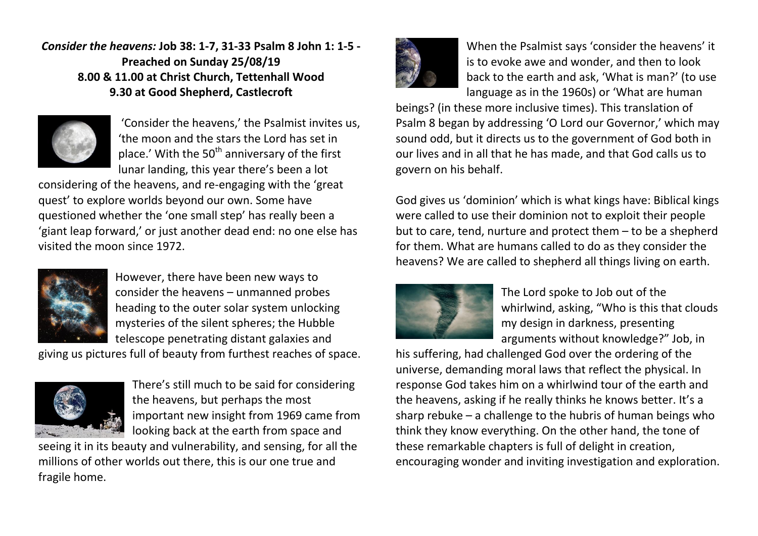*Consider the heavens:* **Job 38: 1-7, 31-33 Psalm 8 John 1: 1-5 - Preached on Sunday 25/08/19 8.00 & 11.00 at Christ Church, Tettenhall Wood 9.30 at Good Shepherd, Castlecroft**



'Consider the heavens,' the Psalmist invites us, 'the moon and the stars the Lord has set in place.' With the  $50<sup>th</sup>$  anniversary of the first lunar landing, this year there's been a lot

considering of the heavens, and re-engaging with the 'great quest' to explore worlds beyond our own. Some have questioned whether the 'one small step' has really been a 'giant leap forward,' or just another dead end: no one else has visited the moon since 1972.



However, there have been new ways to consider the heavens – unmanned probes heading to the outer solar system unlocking mysteries of the silent spheres; the Hubble telescope penetrating distant galaxies and

giving us pictures full of beauty from furthest reaches of space.



There's still much to be said for considering the heavens, but perhaps the most important new insight from 1969 came from looking back at the earth from space and

seeing it in its beauty and vulnerability, and sensing, for all the millions of other worlds out there, this is our one true and fragile home.



When the Psalmist says 'consider the heavens' it is to evoke awe and wonder, and then to look back to the earth and ask, 'What is man?' (to use language as in the 1960s) or 'What are human

beings? (in these more inclusive times). This translation of Psalm 8 began by addressing 'O Lord our Governor,' which may sound odd, but it directs us to the government of God both in our lives and in all that he has made, and that God calls us to govern on his behalf.

God gives us 'dominion' which is what kings have: Biblical kings were called to use their dominion not to exploit their people but to care, tend, nurture and protect them – to be a shepherd for them. What are humans called to do as they consider the heavens? We are called to shepherd all things living on earth.



The Lord spoke to Job out of the whirlwind, asking, "Who is this that clouds my design in darkness, presenting arguments without knowledge?" Job, in

his suffering, had challenged God over the ordering of the universe, demanding moral laws that reflect the physical. In response God takes him on a whirlwind tour of the earth and the heavens, asking if he really thinks he knows better. It's a sharp rebuke – a challenge to the hubris of human beings who think they know everything. On the other hand, the tone of these remarkable chapters is full of delight in creation, encouraging wonder and inviting investigation and exploration.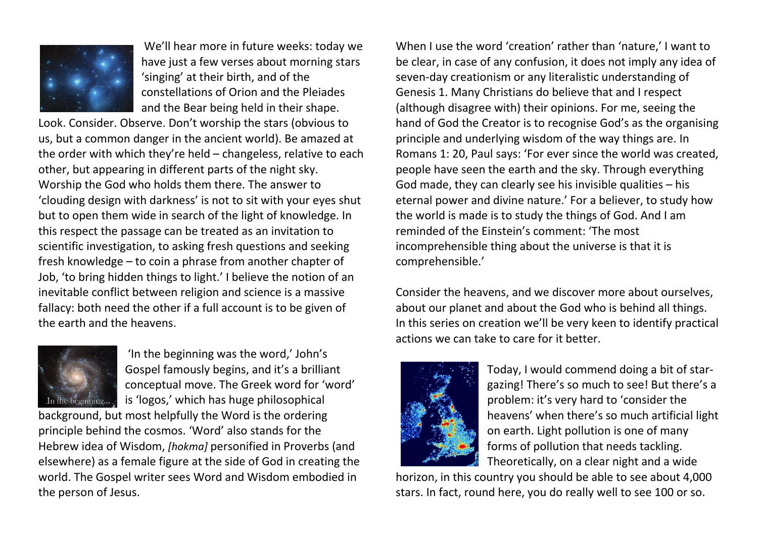

We'll hear more in future weeks: today we have just a few verses about morning stars 'singing' at their birth, and of the constellations of Orion and the Pleiades and the Bear being held in their shape.

Look. Consider. Observe. Don't worship the stars (obvious to us, but a common danger in the ancient world). Be amazed at the order with which they're held – changeless, relative to each other, but appearing in different parts of the night sky. Worship the God who holds them there. The answer to 'clouding design with darkness' is not to sit with your eyes shut but to open them wide in search of the light of knowledge. In this respect the passage can be treated as an invitation to scientific investigation, to asking fresh questions and seeking fresh knowledge – to coin a phrase from another chapter of Job, 'to bring hidden things to light.' I believe the notion of an inevitable conflict between religion and science is a massive fallacy: both need the other if a full account is to be given of the earth and the heavens.



'In the beginning was the word,' John's Gospel famously begins, and it's a brilliant conceptual move. The Greek word for 'word' is 'logos,' which has huge philosophical

background, but most helpfully the Word is the ordering principle behind the cosmos. 'Word' also stands for the Hebrew idea of Wisdom, *[hokma]* personified in Proverbs (and elsewhere) as a female figure at the side of God in creating the world. The Gospel writer sees Word and Wisdom embodied in the person of Jesus.

When I use the word 'creation' rather than 'nature,' I want to be clear, in case of any confusion, it does not imply any idea of seven-day creationism or any literalistic understanding of Genesis 1. Many Christians do believe that and I respect (although disagree with) their opinions. For me, seeing the hand of God the Creator is to recognise God's as the organising principle and underlying wisdom of the way things are. In Romans 1: 20, Paul says: 'For ever since the world was created, people have seen the earth and the sky. Through everything God made, they can clearly see his invisible qualities – his eternal power and divine nature.' For a believer, to study how the world is made is to study the things of God. And I am reminded of the Einstein's comment: 'The most incomprehensible thing about the universe is that it is comprehensible.'

Consider the heavens, and we discover more about ourselves, about our planet and about the God who is behind all things. In this series on creation we'll be very keen to identify practical actions we can take to care for it better.



Today, I would commend doing a bit of stargazing! There's so much to see! But there's a problem: it's very hard to 'consider the heavens' when there's so much artificial light on earth. Light pollution is one of many forms of pollution that needs tackling. Theoretically, on a clear night and a wide

horizon, in this country you should be able to see about 4,000 stars. In fact, round here, you do really well to see 100 or so.